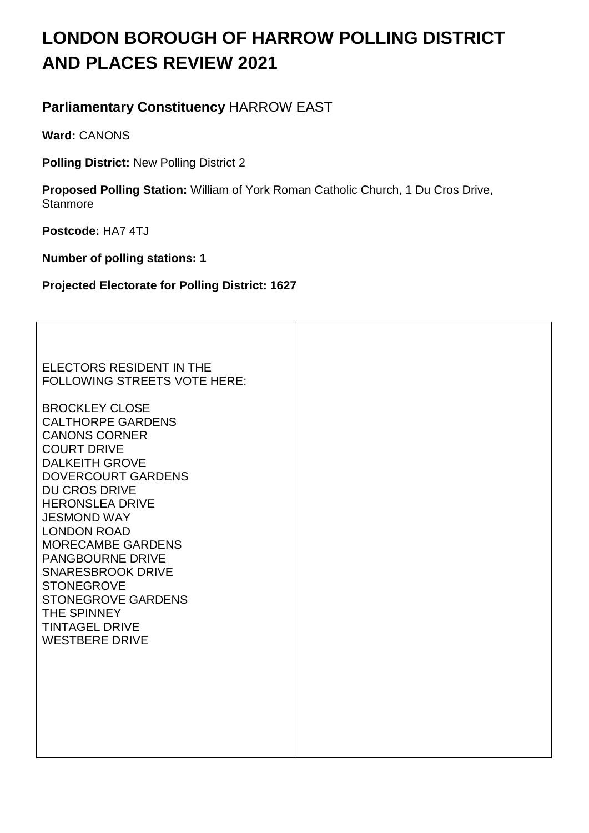# **LONDON BOROUGH OF HARROW POLLING DISTRICT AND PLACES REVIEW 2021**

# **Parliamentary Constituency** HARROW EAST

**Ward:** CANONS

**Polling District:** New Polling District 2

**Proposed Polling Station:** William of York Roman Catholic Church, 1 Du Cros Drive, **Stanmore** 

**Postcode:** HA7 4TJ

**Number of polling stations: 1** 

**Projected Electorate for Polling District: 1627**

ELECTORS RESIDENT IN THE FOLLOWING STREETS VOTE HERE: BROCKLEY CLOSE CALTHORPE GARDENS CANONS CORNER COURT DRIVE DALKEITH GROVE DOVERCOURT GARDENS DU CROS DRIVE HERONSLEA DRIVE JESMOND WAY LONDON ROAD MORECAMBE GARDENS PANGBOURNE DRIVE SNARESBROOK DRIVE **STONEGROVE** STONEGROVE GARDENS THE SPINNEY TINTAGEL DRIVE WESTBERE DRIVE